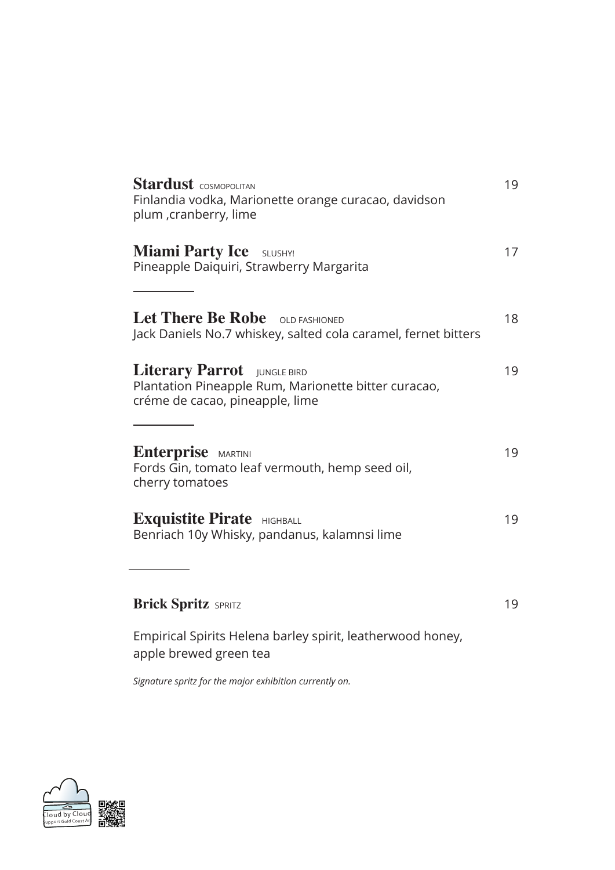| <b>Miami Party Ice</b> SLUSHY!<br>Pineapple Daiquiri, Strawberry Margarita                                             | 17 |
|------------------------------------------------------------------------------------------------------------------------|----|
|                                                                                                                        |    |
| Let There Be Robe OLD FASHIONED<br>Jack Daniels No.7 whiskey, salted cola caramel, fernet bitters                      | 18 |
| Literary Parrot JUNGLE BIRD<br>Plantation Pineapple Rum, Marionette bitter curacao,<br>créme de cacao, pineapple, lime | 19 |
| <b>Enterprise</b> MARTINI<br>Fords Gin, tomato leaf vermouth, hemp seed oil,<br>cherry tomatoes                        | 19 |
| <b>Exquistite Pirate</b> HIGHBALL<br>Benriach 10y Whisky, pandanus, kalamnsi lime                                      | 19 |
|                                                                                                                        |    |
| <b>Brick Spritz SPRITZ</b>                                                                                             | 19 |
| Empirical Spirits Helena barley spirit, leatherwood honey,<br>apple brewed green tea                                   |    |

*Signature spritz for the major exhibition currently on.*

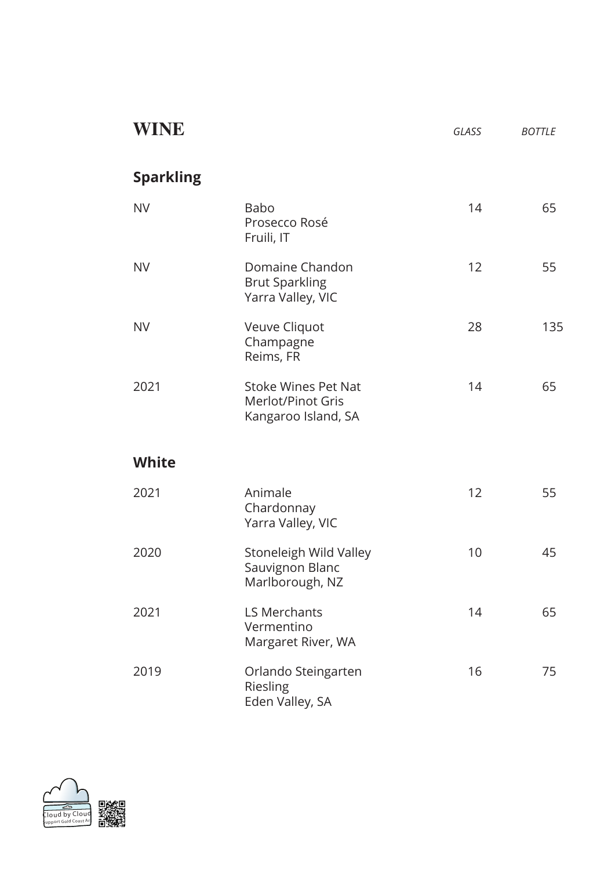| WINE             |                                                                               | GLASS | <b>BOTTLE</b> |
|------------------|-------------------------------------------------------------------------------|-------|---------------|
| <b>Sparkling</b> |                                                                               |       |               |
| <b>NV</b>        | <b>Babo</b><br>Prosecco Rosé<br>Fruili, IT                                    | 14    | 65            |
| <b>NV</b>        | Domaine Chandon<br><b>Brut Sparkling</b><br>Yarra Valley, VIC                 | 12    | 55            |
| <b>NV</b>        | Veuve Cliquot<br>Champagne<br>Reims, FR                                       | 28    | 135           |
| 2021             | <b>Stoke Wines Pet Nat</b><br><b>Merlot/Pinot Gris</b><br>Kangaroo Island, SA | 14    | 65            |
| <b>White</b>     |                                                                               |       |               |
| 2021             | Animale<br>Chardonnay<br>Yarra Valley, VIC                                    | 12    | 55            |
| 2020             | Stoneleigh Wild Valley<br>Sauvignon Blanc<br>Marlborough, NZ                  | 10    | 45            |
| 2021             | <b>LS Merchants</b><br>Vermentino<br>Margaret River, WA                       | 14    | 65            |
| 2019             | Orlando Steingarten<br>Riesling<br>Eden Valley, SA                            | 16    | 75            |